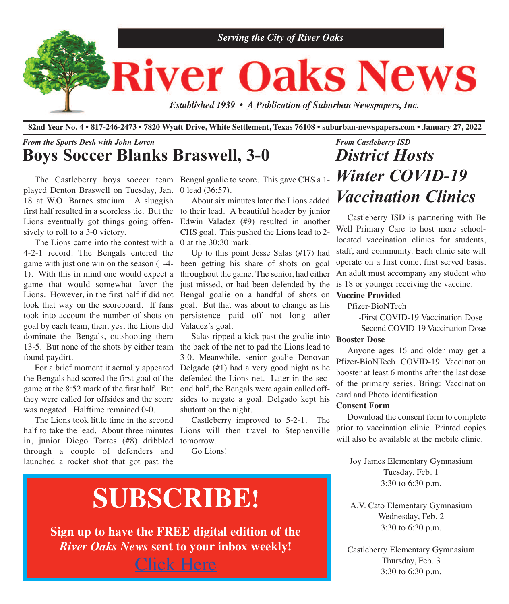

82nd Year No. 4 • 817-246-2473 • 7820 Wyatt Drive, White Settlement, Texas 76108 • suburban-newspapers.com • January 27, 2022

### *From the Sports Desk with John Loven* **Boys Soccer Blanks Braswell, 3-0**

played Denton Braswell on Tuesday, Jan. 0 lead (36:57). first half resulted in a scoreless tie. But the to their lead. A beautiful header by junior 18 at W.O. Barnes stadium. A sluggish Lions eventually got things going offensively to roll to a 3-0 victory.

The Lions came into the contest with a  $\,0$  at the 30:30 mark. 13-5. But none of the shots by either team the back of the net to pad the Lions lead to 4-2-1 record. The Bengals entered the game with just one win on the season (1-4- 1). With this in mind one would expect a game that would somewhat favor the Lions. However, in the first half if did not look that way on the scoreboard. If fans took into account the number of shots on goal by each team, then, yes, the Lions did dominate the Bengals, outshooting them found paydirt.

 For a brief moment it actually appeared the Bengals had scored the first goal of the game at the 8:52 mark of the first half. But they were called for offsides and the score was negated. Halftime remained 0-0.

half to take the lead. About three minutes Lions will then travel to Stephenville The Lions took little time in the second in, junior Diego Torres (#8) dribbled through a couple of defenders and launched a rocket shot that got past the

The Castleberry boys soccer team Bengal goalie to score. This gave CHS a 1-

 About six minutes later the Lions added Edwin Valadez (#9) resulted in another CHS goal. This pushed the Lions lead to 2-

 Up to this point Jesse Salas (#17) had been getting his share of shots on goal throughout the game. The senior, had either just missed, or had been defended by the is 18 or younger receiving the vaccine. Bengal goalie on a handful of shots on goal. But that was about to change as his persistence paid off not long after Valadez's goal.

 Salas ripped a kick past the goalie into 3-0. Meanwhile, senior goalie Donovan Delgado (#1) had a very good night as he defended the Lions net. Later in the second half, the Bengals were again called offsides to negate a goal. Delgado kept his shutout on the night.

 Castleberry improved to 5-2-1. The tomorrow.

Go Lions!

# **SUBSCRIBE!**

**Sign up to have the FREE digital edition of the** *River Oaks News* **sent to your inbox weekly!** [Click](http://eepurl.com/g3m8OX) Here

## *From Castleberry ISD District Hosts Winter COVID-19 Vaccination Clinics*

 Castleberry ISD is partnering with Be Well Primary Care to host more schoollocated vaccination clinics for students, staff, and community. Each clinic site will operate on a first come, first served basis. An adult must accompany any student who

### **Vaccine Provided**

Pfizer-BioNTech

-First COVID-19 Vaccination Dose

-Second COVID-19 Vaccination Dose

### **Booster Dose**

 Anyone ages 16 and older may get a Pfizer-BioNTech COVID-19 Vaccination booster at least 6 months after the last dose of the primary series. Bring: Vaccination card and Photo identification

#### **Consent Form**

 Download the consent form to complete prior to vaccination clinic. Printed copies will also be available at the mobile clinic.

Joy James Elementary Gymnasium Tuesday, Feb. 1 3:30 to 6:30 p.m.

A.V. Cato Elementary Gymnasium Wednesday, Feb. 2 3:30 to 6:30 p.m.

Castleberry Elementary Gymnasium Thursday, Feb. 3 3:30 to 6:30 p.m.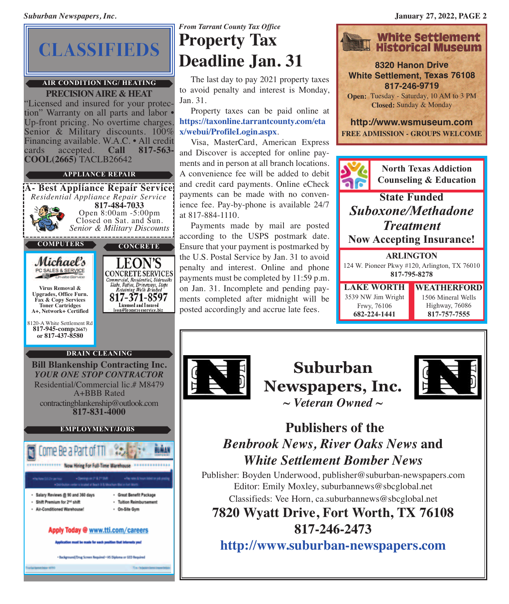# **CLASSIFIEDS**

### **AIR CONDITION ING/ HEATING**

**PRECISIONAIRE & HEAT** "Licensed and insured for your protection" Warranty on all parts and labor • Up-front pricing. No overtime charges.<br>Senior & Military discounts. 100% Financing available. W.A.C. • All credit cards accepted. **Call 817-563**cards accepted. **Call 817-563- COOL(2665)** TACLB26642

### **APPLIANCE REPAIR**

**A- Best Appliance Repair Service** *Residential Appliance Repair Service* **817-484-7033** Open 8:00am -5:00pm<br>Closed on Sat. and Sun. Closed on Sat. and Sun. *Senior & Military Discounts* **COMPUTERS PUTERS** Michael's PC SALES & SERVICE **CONCRETE SERVICES** Commercial, Residential, Sidewalks Slabs, Patios, Driveways, Steps<br>Retaining Walls Brushed **Virus Removal & Upgrades, Office Furn.** 817-371-8597 **Fax & Copy Services** Licensed and Insured<br>leon@leonstreeservice.biz **Toner Cartridges A+, Network+ Certified** 8120-A White Settlement Rd **817-945-comp(2667) or 817-437-8580 DRAIN CLEANING Bill Blankenship Contracting Inc.** *YOUR ONE STOP CONTRACTOR*

Residential/Commercial lic.# M8479 A+BBB Rated contractingblankenship@outlook.com **817-831-4000**

### **EMPLOYMENT/JOBS**



*From Tarrant County Tax Office* **Property Tax Deadline Jan. 31**

 The last day to pay 2021 property taxes to avoid penalty and interest is Monday, Jan. 31.

 Property taxes can be paid online at **[https://taxonline.tarrantcounty.com/eta](https://taxonline.tarrantcounty.com/eTax/WebUI/ProfileLogin.aspx?ReturnUrl=%2fetax%2fwebui%2fProf) [x/webui/ProfileLogin.aspx](https://taxonline.tarrantcounty.com/eTax/WebUI/ProfileLogin.aspx?ReturnUrl=%2fetax%2fwebui%2fProf)**.

 Visa, MasterCard, American Express and Discover is accepted for online payments and in person at all branch locations. A convenience fee will be added to debit and credit card payments. Online eCheck payments can be made with no convenience fee. Pay-by-phone is available 24/7 at 817-884-1110.

 Payments made by mail are posted according to the USPS postmark date. Ensure that your payment is postmarked by the U.S. Postal Service by Jan. 31 to avoid penalty and interest. Online and phone payments must be completed by 11:59 p.m. on Jan. 31. Incomplete and pending payments completed after midnight will be posted accordingly and accrue late fees.



**8320 Hanon Drive White Settlement, Texas 76108 817-246-9719**

**Open:** Tuesday - Saturday, 10 AM to 3 PM **Closed:** Sunday & Monday

**<http://www.wsmuseum.com> FREE ADMISSION - GROUPS WELCOME**



**North Texas Addiction Counseling & Education**

**State Funded** *Suboxone/Methadone Treatment* **Now Accepting Insurance!**

**ARLINGTON** 124 W. Pioneer Pkwy #120, Arlington, TX 76010 **817-795-8278**

**LAKE WORTH** 3539 NW Jim Wright Frwy, 76106 **682-224-1441**

**WEATHERFORD** 1506 Mineral Wells Highway, 76086 **817-757-7555**



**Suburban Newspapers, Inc.** *~ Veteran Owned ~*



## **Publishers of the** *Benbrook News, River Oaks News* **and** *White Settlement Bomber News*

Publisher: Boyden Underwood, publisher@suburban-newspapers.com Editor: Emily Moxley, suburbannews@sbcglobal.net Classifieds: Vee Horn, ca.suburbannews@sbcglobal.net

**7820 Wyatt Drive, Fort Worth, TX 76108 817-246-2473**

**<http://www.suburban-newspapers.com>**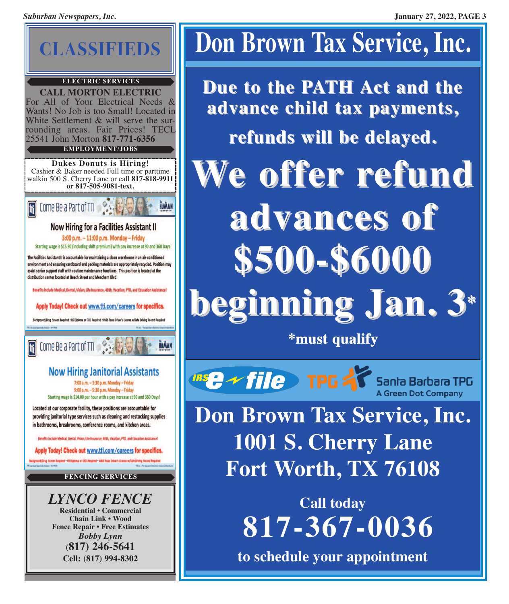

### **ELECTRIC SERVICES**

**CALL MORTON ELECTRIC** For All of Your Electrical Needs & Wants! No Job is too Small! Located in<br>White Settlement & will serve the surrounding areas. Fair Prices! TECL 25541 John Morton **817-771-6356 EMPLOYMENT/JOBS**

**Dukes Donuts is Hiring!** Cashier & Baker needed Full time or parttime walkin 500 S. Cherry Lane or call **817-818-9911 or 817-505-9081-text.**



### **Now Hiring for a Facilities Assistant II**

3:00 p.m. - 11:00 p.m. Monday - Friday Starting wage is \$15.90 (including shift premium) with pay increase at 90 and 360 Days!

The Facilities Assistant II is accountable for maintaining a clean warehouse in an air-conditioned environment and ensuring cardboard and packing materials are appropriately recycled. Position may assist senior support staff with routine maintenance functions. This position is located at the distribution center located at Beach Street and Meacham Blvd.

Benefits include Medical, Dental, Vision, Life Insurance, 401k, Vacation, PTO, and Education Assistance!

Apply Today! Check out www.tti.com/careers for specifics.

Background/Drug Screen Required . HS Diploma or GED Required . Valld Texas Driver's License w/Safe Driving Re

[ti] Come Be a Part of TTI

## **Now Hiring Janitorial Assistants**

HUMAN

7:00 a.m. - 3:30 p.m. Monday - Friday 9:00 a.m. - 5:30 p.m. Monday - Friday Starting wage is \$14.00 per hour with a pay increase at 90 and 360 Days!

Located at our corporate facility, these positions are accountable for providing janitorial type services such as cleaning and restocking supplies in bathrooms, breakrooms, conference rooms, and kitchen areas.

Benefits include Medical, Dental, Vision, Life Insurance, 401k, Vacation, PTO, and Education Assistan

Apply Today! Check out www.tti.com/careers for specifics.

Budground/Drug Screen Required - HD Digitoria or CED Required - Valid Texas Driver's Livense w/Tafe Driving Record Require

**FENCING SERVICES**

*LYNCO FENCE* **Residential • Commercial Chain Link • Wood Fence Repair • Free Estimates** *Bobby Lynn* **(817) 246-5641 Cell: (817) 994-8302**

# **Don Brown Tax Service, Inc.**

**Due to the PATH Act and the advance child tax payments, refunds will be delayed. We offer refund advances of \$500-\$6000 beginning Jan. 3\***

**\*must qualify**

**Insert of Tellet TPG 2** Santa Barbara TPG

**Don Brown Tax Service, Inc. 1001 S. Cherry Lane Fort Worth, TX 76108**

> **Call today 817-367-0036**

**to schedule your appointment**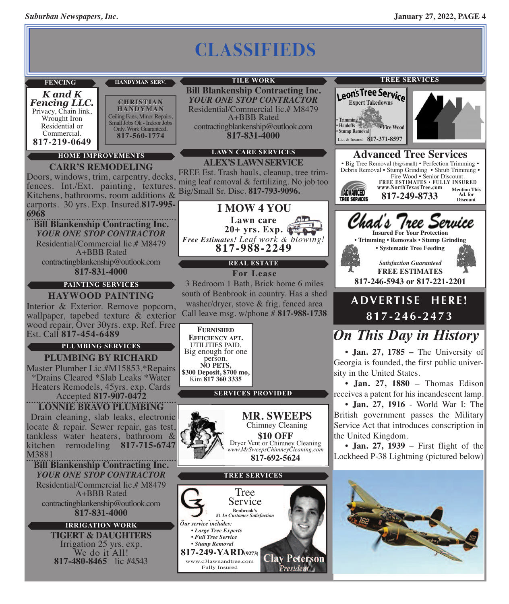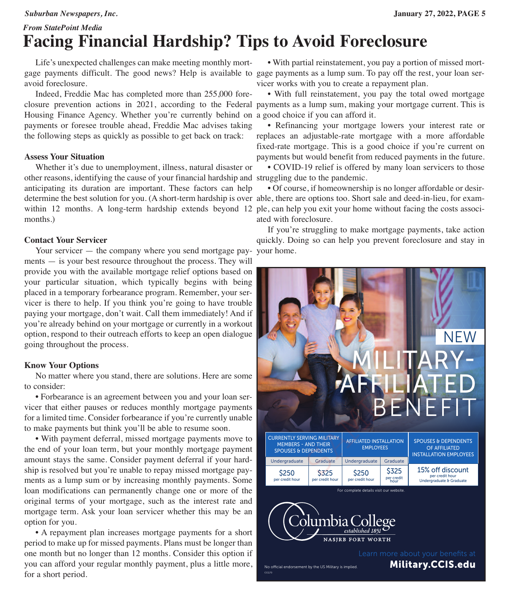### *From StatePoint Media* **Facing Financial Hardship? Tips to Avoid Foreclosure**

 Life's unexpected challenges can make meeting monthly mortgage payments difficult. The good news? Help is available to gage payments as a lump sum. To pay off the rest, your loan seravoid foreclosure.

 Indeed, Freddie Mac has completed more than 255,000 fore-Housing Finance Agency. Whether you're currently behind on a good choice if you can afford it. payments or foresee trouble ahead, Freddie Mac advises taking the following steps as quickly as possible to get back on track:

### **Assess Your Situation**

 Whether it's due to unemployment, illness, natural disaster or other reasons, identifying the cause of your financial hardship and struggling due to the pandemic. anticipating its duration are important. These factors can help determine the best solution for you. (A short-term hardship is over able, there are options too. Short sale and deed-in-lieu, for examwithin 12 months. A long-term hardship extends beyond 12 ple, can help you exit your home without facing the costs associmonths.)

### **Contact Your Servicer**

Your servicer — the company where you send mortgage payments — is your best resource throughout the process. They will provide you with the available mortgage relief options based on your particular situation, which typically begins with being placed in a temporary forbearance program. Remember, your servicer is there to help. If you think you're going to have trouble paying your mortgage, don't wait. Call them immediately! And if you're already behind on your mortgage or currently in a workout option, respond to their outreach efforts to keep an open dialogue going throughout the process.

### **Know Your Options**

 No matter where you stand, there are solutions. Here are some to consider:

 • Forbearance is an agreement between you and your loan servicer that either pauses or reduces monthly mortgage payments for a limited time. Consider forbearance if you're currently unable to make payments but think you'll be able to resume soon.

 • With payment deferral, missed mortgage payments move to the end of your loan term, but your monthly mortgage payment amount stays the same. Consider payment deferral if your hardship is resolved but you're unable to repay missed mortgage payments as a lump sum or by increasing monthly payments. Some loan modifications can permanently change one or more of the original terms of your mortgage, such as the interest rate and mortgage term. Ask your loan servicer whether this may be an option for you.

 • A repayment plan increases mortgage payments for a short period to make up for missed payments. Plans must be longer than one month but no longer than 12 months. Consider this option if you can afford your regular monthly payment, plus a little more, for a short period.

 • With partial reinstatement, you pay a portion of missed mortvicer works with you to create a repayment plan.

closure prevention actions in 2021, according to the Federal payments as a lump sum, making your mortgage current. This is • With full reinstatement, you pay the total owed mortgage

> • Refinancing your mortgage lowers your interest rate or replaces an adjustable-rate mortgage with a more affordable fixed-rate mortgage. This is a good choice if you're current on payments but would benefit from reduced payments in the future.

• COVID-19 relief is offered by many loan servicers to those

 • Of course, if homeownership is no longer affordable or desirated with foreclosure.

 If you're struggling to make mortgage payments, take action quickly. Doing so can help you prevent foreclosure and stay in your home.

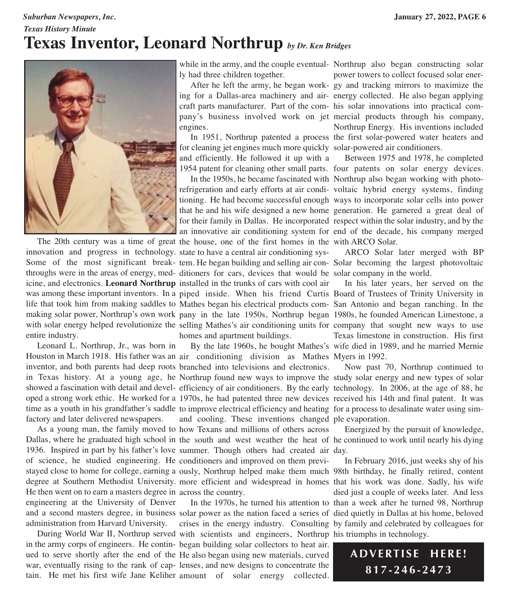## *Texas History Minute* **Texas Inventor, Leonard Northrup** *by Dr. Ken Bridges*



entire industry.

 Leonard L. Northrup, Jr., was born in factory and later delivered newspapers.

1936. Inspired in part by his father's love summer. Though others had created air day. He then went on to earn a masters degree in across the country. engineering at the University of Denver

while in the army, and the couple eventual-Northrup also began constructing solar ly had three children together.

 After he left the army, he began work-gy and tracking mirrors to maximize the ing for a Dallas-area machinery and air-energy collected. He also began applying craft parts manufacturer. Part of the com-his solar innovations into practical company's business involved work on jet mercial products through his company, engines.

 In 1951, Northrup patented a process the first solar-powered water heaters and for cleaning jet engines much more quickly solar-powered air conditioners. and efficiently. He followed it up with a

 In the 1950s, he became fascinated with Northrup also began working with photorefrigeration and early efforts at air condi-voltaic hybrid energy systems, finding tioning. He had become successful enough ways to incorporate solar cells into power that he and his wife designed a new home generation. He garnered a great deal of for their family in Dallas. He incorporated respect within the solar industry, and by the an innovative air conditioning system for end of the decade, his company merged

 The 20th century was a time of great the house, one of the first homes in the with ARCO Solar. innovation and progress in technology. state to have a central air conditioning sys-Some of the most significant break-tem. He began building and selling air con-Solar becoming the largest photovoltaic throughs were in the areas of energy, med-ditioners for cars, devices that would be solar company in the world. icine, and electronics. **Leonard Northrup** installed in the trunks of cars with cool air was among these important inventors. In a piped inside. When his friend Curtis Board of Trustees of Trinity University in life that took him from making saddles to Mathes began his electrical products com- San Antonio and began ranching. In the making solar power, Northrup's own work pany in the late 1950s, Northrup began 1980s, he founded American Limestone, a with solar energy helped revolutionize the selling Mathes's air conditioning units for company that sought new ways to use homes and apartment buildings.

Houston in March 1918. His father was an air conditioning division as Mathes Myers in 1992. inventor, and both parents had deep roots branched into televisions and electronics. in Texas history. At a young age, he Northrup found new ways to improve the study solar energy and new types of solar showed a fascination with detail and devel-efficiency of air conditioners. By the early technology. In 2006, at the age of 88, he oped a strong work ethic. He worked for a 1970s, he had patented three new devices received his 14th and final patent. It was time as a youth in his grandfather's saddle to improve electrical efficiency and heating for a process to desalinate water using sim- As a young man, the family moved to how Texans and millions of others across Dallas, where he graduated high school in the south and west weather the heat of he continued to work until nearly his dying By the late 1960s, he bought Mathes's wife died in 1989, and he married Mernie and cooling. These inventions changed ple evaporation.

of science, he studied engineering. He conditioners and improved on them previstayed close to home for college, earning a ously, Northrup helped make them much 98th birthday, he finally retired, content degree at Southern Methodist University. more efficient and widespread in homes that his work was done. Sadly, his wife

and a second masters degree, in business solar power as the nation faced a series of died quietly in Dallas at his home, beloved administration from Harvard University. crises in the energy industry. Consulting by family and celebrated by colleagues for During World War II, Northrup served with scientists and engineers, Northrup his triumphs in technology. in the army corps of engineers. He contin-began building solar collectors to heat air. ued to serve shortly after the end of the He also began using new materials, curved war, eventually rising to the rank of cap-lenses, and new designs to concentrate the tain. He met his first wife Jane Keliher amount of solar energy collected.

power towers to collect focused solar ener-Northrup Energy. His inventions included

1954 patent for cleaning other small parts. four patents on solar energy devices. Between 1975 and 1978, he completed

ARCO Solar later merged with BP

 In his later years, her served on the Texas limestone in construction. His first

Now past 70, Northrup continued to

Energized by the pursuit of knowledge,

In the 1970s, he turned his attention to than a week after he turned 98, Northrup In February 2016, just weeks shy of his died just a couple of weeks later. And less

> **ADVERTI S E HERE ! 817-246-2473**